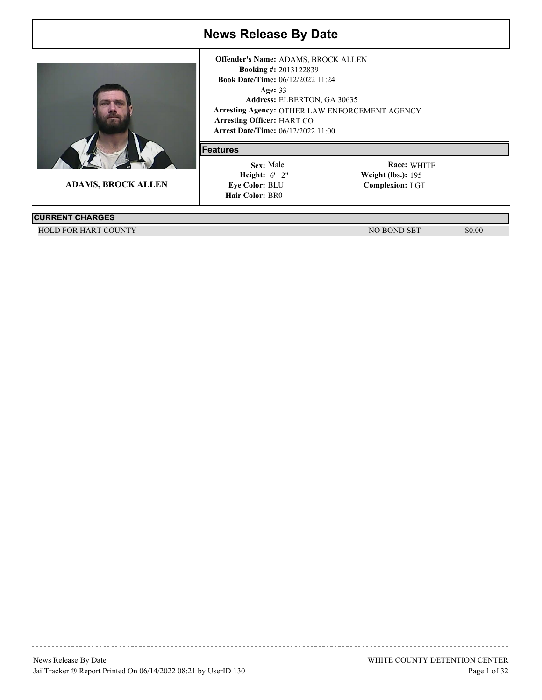

**ADAMS, BROCK ALLEN**

#### **CURRENT CHARGES**

HOLD FOR HART COUNTY SUBSET AND SET AND SOLUTE SOLUTION OF THE SOLUTION OF THE SOLUTION OF THE SOLUTION OF THE SOLUTION OF THE SOLUTION OF THE SOLUTION OF THE SOLUTION OF THE SOLUTION OF THE SOLUTION OF THE SOLUTION OF THE

**Arrest Date/Time:** 06/12/2022 11:00 Age: 33 **Arresting Agency:** OTHER LAW ENFORCEMENT AGENCY Arresting Officer: HART CO 2013122839 **Booking #:** 06/12/2022 11:24 **Book Date/Time:** ELBERTON, GA 30635 **Address: Offender's Name:** ADAMS, BROCK ALLEN

### **Features**

 6' 2" **Height: Weight (lbs.):** Sex: Male **Eye Color: BLU Hair Color: BR0**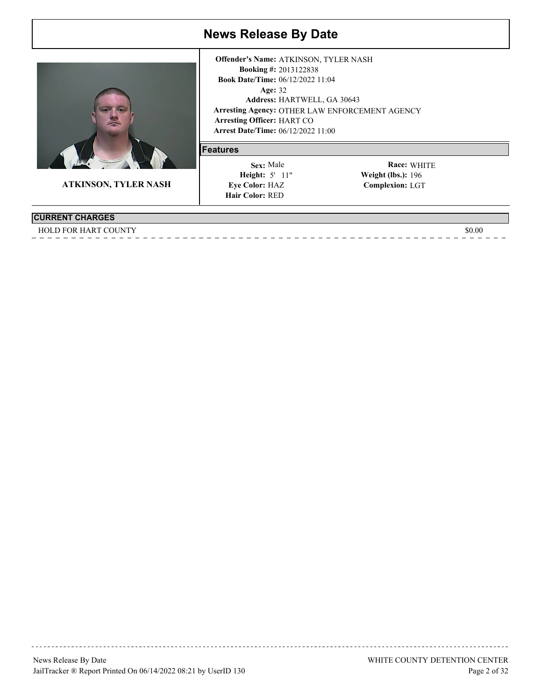

**ATKINSON, TYLER NASH**

#### **CURRENT CHARGES**

HOLD FOR HART COUNTY SOLO

**Arrest Date/Time:** 06/12/2022 11:00 Age: 32 **Arresting Agency:** OTHER LAW ENFORCEMENT AGENCY Arresting Officer: HART CO 2013122838 **Booking #:** 06/12/2022 11:04 **Book Date/Time:** Address: HARTWELL, GA 30643 **Offender's Name:** ATKINSON, TYLER NASH

### **Features**

 5' 11" **Height: Weight (lbs.):** Sex: Male Eye Color: **HAZ Hair Color: RED**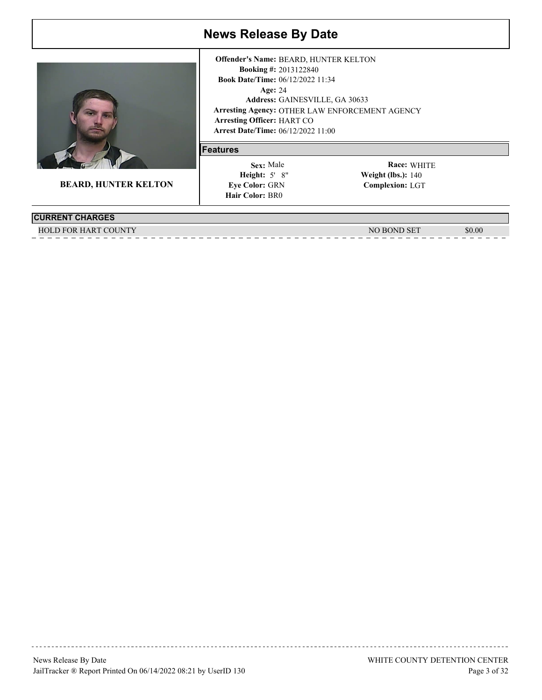

**BEARD, HUNTER KELTON**

#### **CURRENT CHARGES**

HOLD FOR HART COUNTY SUBSET AND SET AND SOLUTE SOLUTION OF THE SOLUTION OF THE SOLUTION OF THE SOLUTION OF THE SOLUTION OF THE SOLUTION OF THE SOLUTION OF THE SOLUTION OF THE SOLUTION OF THE SOLUTION OF THE SOLUTION OF THE

**Arrest Date/Time:** 06/12/2022 11:00 Age: 24 **Arresting Agency:** OTHER LAW ENFORCEMENT AGENCY Arresting Officer: HART CO 2013122840 **Booking #:** 06/12/2022 11:34 **Book Date/Time:** GAINESVILLE, GA 30633 **Address: Offender's Name:** BEARD, HUNTER KELTON

### **Features**

 5' 8" **Height: Weight (lbs.):** Sex: Male **Eye Color:** GRN **Hair Color: BR0**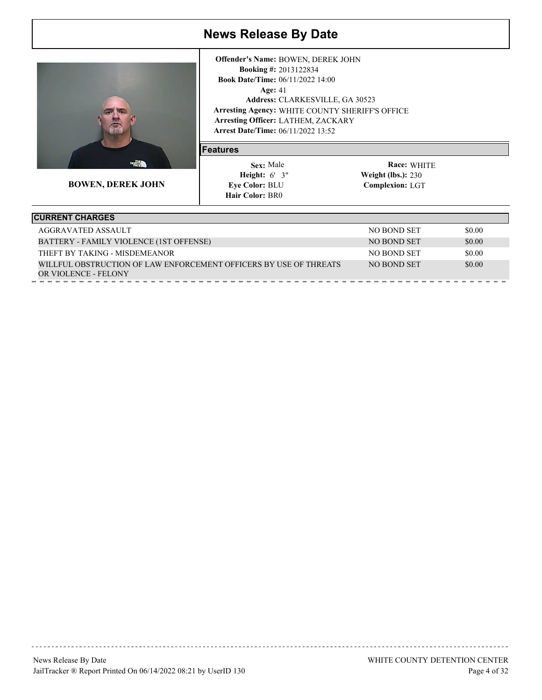

**BOWEN, DEREK JOHN**

**Arrest Date/Time:** 06/11/2022 13:52 Age: 41 **Arresting Agency:** WHITE COUNTY SHERIFF'S OFFICE Arresting Officer: LATHEM, ZACKARY 2013122834 **Booking #:** 06/11/2022 14:00 **Book Date/Time:** CLARKESVILLE, GA 30523 **Address: Offender's Name:** BOWEN, DEREK JOHN

### **Features**

 6' 3" **Height: Weight (lbs.):** Sex: Male **Eye Color: BLU Hair Color: BR0** 

| <b>CURRENT CHARGES</b>                                                                    |             |        |
|-------------------------------------------------------------------------------------------|-------------|--------|
| AGGRAVATED ASSAULT                                                                        | NO BOND SET | \$0.00 |
| BATTERY - FAMILY VIOLENCE (1ST OFFENSE)                                                   | NO BOND SET | \$0.00 |
| THEFT BY TAKING - MISDEMEANOR                                                             | NO BOND SET | \$0.00 |
| WILLFUL OBSTRUCTION OF LAW ENFORCEMENT OFFICERS BY USE OF THREATS<br>OR VIOLENCE - FELONY | NO BOND SET | \$0.00 |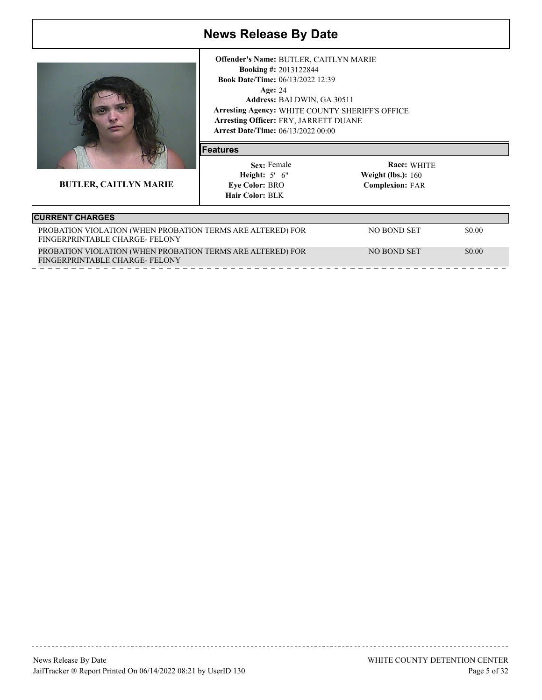

**BUTLER, CAITLYN MARIE**

**Arrest Date/Time:** 06/13/2022 00:00 Age: 24 **Arresting Agency:** WHITE COUNTY SHERIFF'S OFFICE Arresting Officer: FRY, JARRETT DUANE 2013122844 **Booking #:** 06/13/2022 12:39 **Book Date/Time:** BALDWIN, GA 30511 **Address: Offender's Name:** BUTLER, CAITLYN MARIE

#### **Features**

 5' 6" **Height: Weight (lbs.):** Sex: Female **Eye Color: BRO Hair Color: BLK** 

| <b>CURRENT CHARGES</b>                                                                      |             |        |
|---------------------------------------------------------------------------------------------|-------------|--------|
| PROBATION VIOLATION (WHEN PROBATION TERMS ARE ALTERED) FOR<br>FINGERPRINTABLE CHARGE-FELONY | NO BOND SET | \$0.00 |
| PROBATION VIOLATION (WHEN PROBATION TERMS ARE ALTERED) FOR<br>FINGERPRINTABLE CHARGE-FELONY | NO BOND SET | \$0.00 |
|                                                                                             |             |        |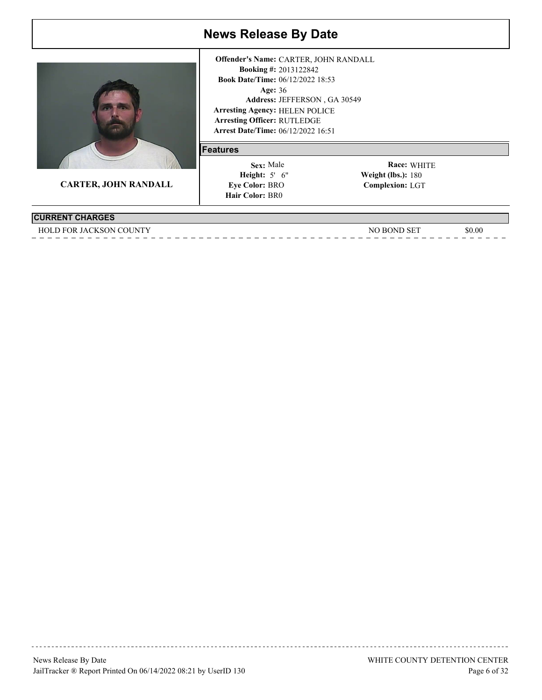

**CARTER, JOHN RANDALL**

**Arrest Date/Time:** 06/12/2022 16:51 Age: 36 **Arresting Agency:** HELEN POLICE Arresting Officer: RUTLEDGE 2013122842 **Booking #:** 06/12/2022 18:53 **Book Date/Time:** Address: JEFFERSON, GA 30549 **Offender's Name:** CARTER, JOHN RANDALL

#### **Features**

 5' 6" **Height: Weight (lbs.):** Sex: Male **Eye Color: BRO Hair Color: BR0** 

WHITE **Race: Complexion:** LGT **Weight (lbs.): 180** 

**CURRENT CHARGES**

HOLD FOR JACKSON COUNTY SOLO BOOK AND SET SOLO

| News Release By Date                                           |
|----------------------------------------------------------------|
| JailTracker ® Report Printed On 06/14/2022 08:21 by UserID 130 |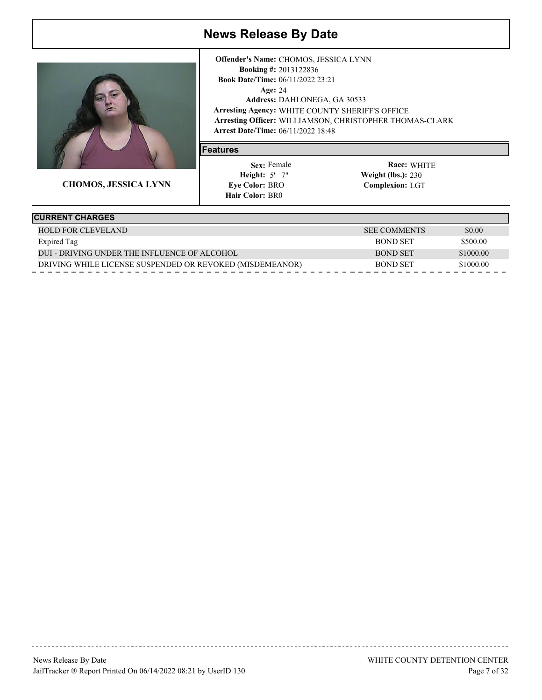

**CHOMOS, JESSICA LYNN**

**Arrest Date/Time:** 06/11/2022 18:48 Age: 24 **Arresting Agency:** WHITE COUNTY SHERIFF'S OFFICE Arresting Officer: WILLIAMSON, CHRISTOPHER THOMAS-CLARK 2013122836 **Booking #:** 06/11/2022 23:21 **Book Date/Time:** DAHLONEGA, GA 30533 **Address: Offender's Name:** CHOMOS, JESSICA LYNN

### **Features**

 5' 7" **Height: Weight (lbs.):** Sex: Female **Eye Color: BRO Hair Color: BR0** 

| <b>CURRENT CHARGES</b>                                   |                     |           |
|----------------------------------------------------------|---------------------|-----------|
| <b>HOLD FOR CLEVELAND</b>                                | <b>SEE COMMENTS</b> | \$0.00    |
| Expired Tag                                              | <b>BOND SET</b>     | \$500.00  |
| DUI - DRIVING UNDER THE INFLUENCE OF ALCOHOL             | <b>BOND SET</b>     | \$1000.00 |
| DRIVING WHILE LICENSE SUSPENDED OR REVOKED (MISDEMEANOR) | <b>BOND SET</b>     | \$1000.00 |
|                                                          |                     |           |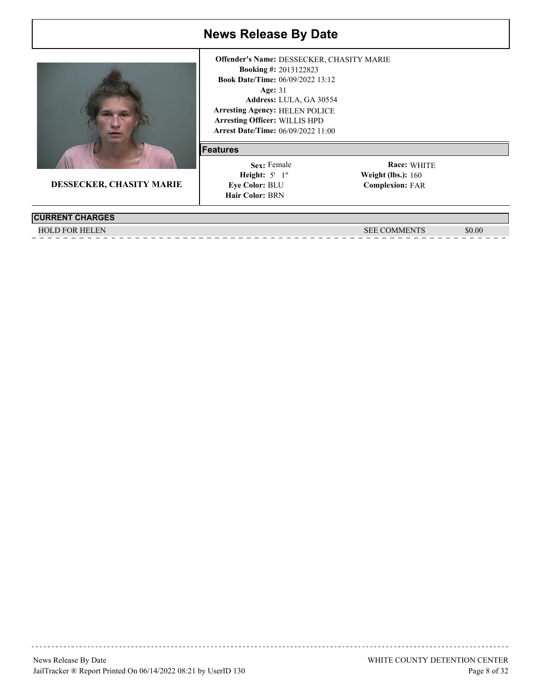

**DESSECKER, CHASITY MARIE**

#### **Arrest Date/Time:** 06/09/2022 11:00 Age: 31 **Arresting Agency:** HELEN POLICE Arresting Officer: WILLIS HPD 2013122823 **Booking #:** 06/09/2022 13:12 **Book Date/Time:** LULA, GA 30554 **Address: Offender's Name:** DESSECKER, CHASITY MARIE

#### **Features**

 5' 1" **Height: Weight (lbs.):** Sex: Female **Eye Color: BLU Hair Color: BRN** 

| <b>CURRENT CHARGES</b> |                         |        |
|------------------------|-------------------------|--------|
| LD FOR HELEN           | <b>COMMENTS</b><br>SEE. | \$0.00 |
|                        |                         |        |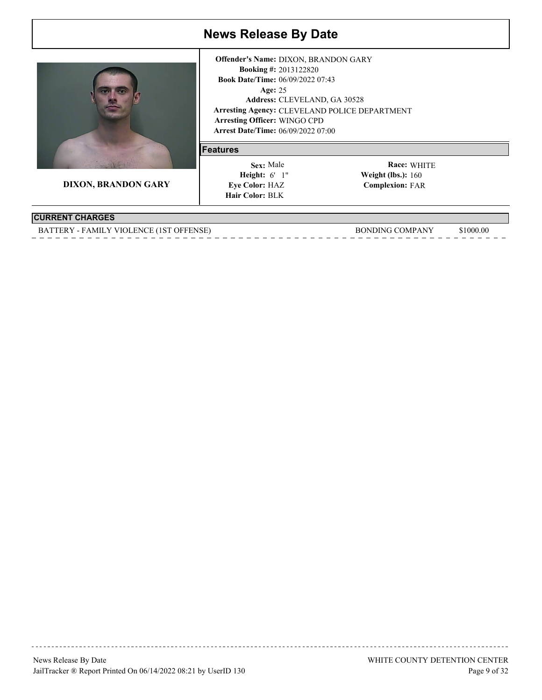

**DIXON, BRANDON GARY**

**Arrest Date/Time:** 06/09/2022 07:00 Age: 25 **Arresting Agency:** CLEVELAND POLICE DEPARTMENT Arresting Officer: WINGO CPD 2013122820 **Booking #:** 06/09/2022 07:43 **Book Date/Time:** CLEVELAND, GA 30528 **Address: Offender's Name:** DIXON, BRANDON GARY

### **Features**

 6' 1" **Height: Weight (lbs.):** Sex: Male Eye Color: **HAZ Hair Color: BLK** 

WHITE **Race: Complexion:** FAR **Weight (lbs.):** 160

### **CURRENT CHARGES**

BATTERY - FAMILY VIOLENCE (1ST OFFENSE) BONDING COMPANY \$1000.00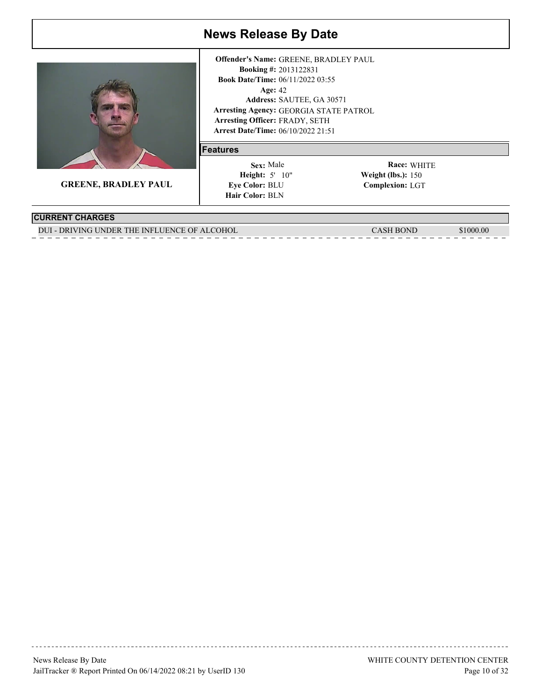

**GREENE, BRADLEY PAUL**

**Arrest Date/Time:** 06/10/2022 21:51 Age: 42 **Arresting Agency:** GEORGIA STATE PATROL Arresting Officer: FRADY, SETH 2013122831 **Booking #:** 06/11/2022 03:55 **Book Date/Time:** Address: SAUTEE, GA 30571 **Offender's Name:** GREENE, BRADLEY PAUL

### **Features**

 5' 10" **Height: Weight (lbs.):** Sex: Male **Eye Color: BLU Hair Color: BLN** 

WHITE **Race: Complexion:** LGT Weight (lbs.): 150

### **CURRENT CHARGES**

DUI - DRIVING UNDER THE INFLUENCE OF ALCOHOL CASH BOND \$1000.00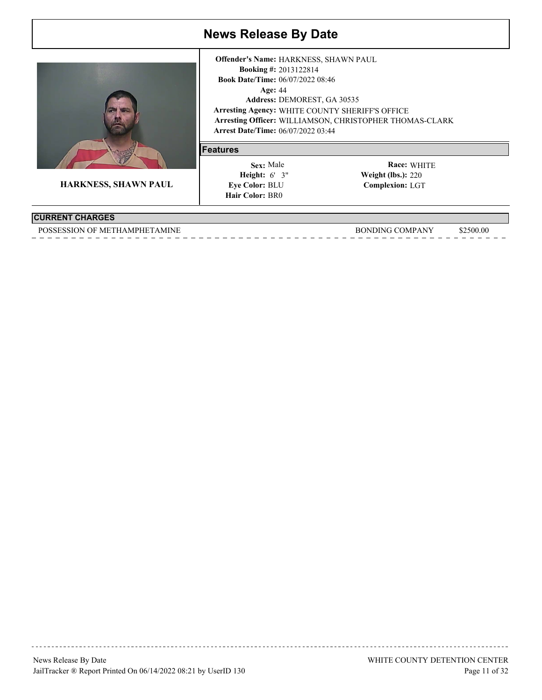

**HARKNESS, SHAWN PAUL**

**Arrest Date/Time:** 06/07/2022 03:44 Age: 44 **Arresting Agency:** WHITE COUNTY SHERIFF'S OFFICE Arresting Officer: WILLIAMSON, CHRISTOPHER THOMAS-CLARK 2013122814 **Booking #:** 06/07/2022 08:46 **Book Date/Time:** DEMOREST, GA 30535 **Address: Offender's Name:** HARKNESS, SHAWN PAUL

### **Features**

 6' 3" **Height: Weight (lbs.):** Sex: Male **Eye Color: BLU Hair Color: BR0** 

WHITE **Race: Complexion:** LGT **Weight (lbs.): 220** 

### **CURRENT CHARGES**

POSSESSION OF METHAMPHETAMINE BONDING COMPANY \$2500.00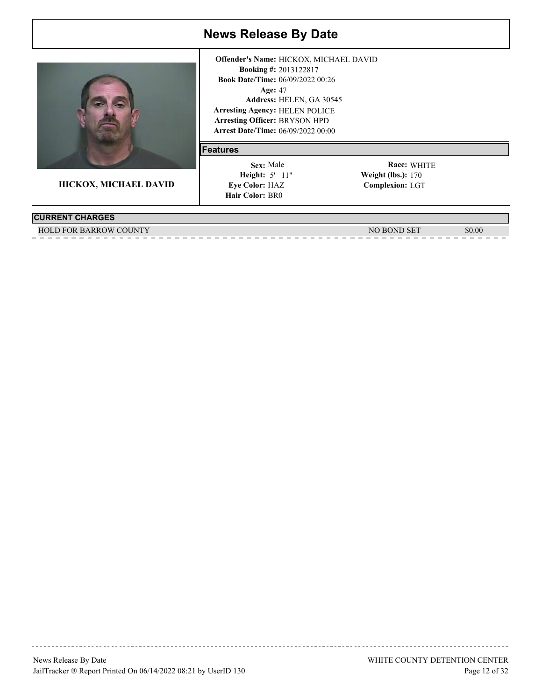

**HICKOX, MICHAEL DAVID**

**Arrest Date/Time:** 06/09/2022 00:00 Age: 47 **Arresting Agency:** HELEN POLICE Arresting Officer: BRYSON HPD 2013122817 **Booking #:** 06/09/2022 00:26 **Book Date/Time:** Address: HELEN, GA 30545 **Offender's Name:** HICKOX, MICHAEL DAVID

#### **Features**

 5' 11" **Height: Weight (lbs.):** Sex: Male Eye Color: **HAZ Hair Color: BR0** 

WHITE **Race: Complexion:** LGT **Weight (lbs.): 170** 

### **CURRENT CHARGES**

HOLD FOR BARROW COUNTY AND RESERVE THE SOLUTION OF THE SOLUTION OF THE SOLUTION OF THE SOLUTION OF THE SOLUTION OF THE SOLUTION OF THE SOLUTION OF THE SOLUTION OF THE SOLUTION OF THE SOLUTION OF THE SOLUTION OF THE SOLUTIO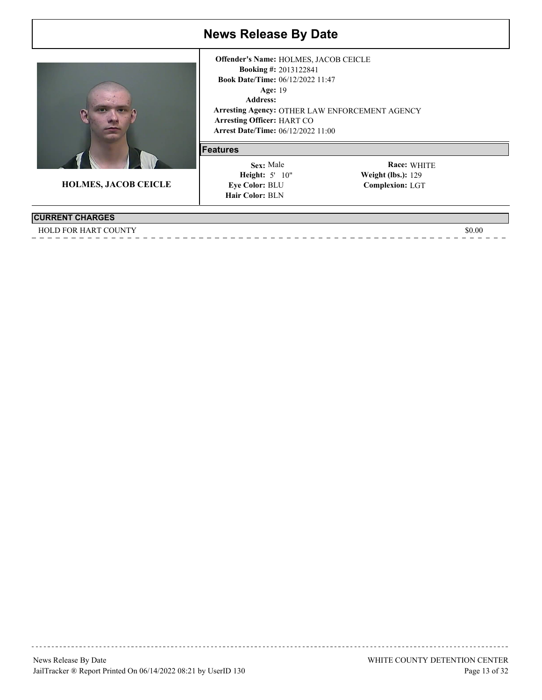

**HOLMES, JACOB CEICLE**

#### **CURRENT CHARGES**

HOLD FOR HART COUNTY SOLO

**Arrest Date/Time:** 06/12/2022 11:00 Age: 19 **Arresting Agency:** OTHER LAW ENFORCEMENT AGENCY Arresting Officer: HART CO 2013122841 **Booking #:** 06/12/2022 11:47 **Book Date/Time: Address: Offender's Name:** HOLMES, JACOB CEICLE

### **Features**

 5' 10" **Height: Weight (lbs.):** Sex: Male **Eye Color: BLU Hair Color: BLN**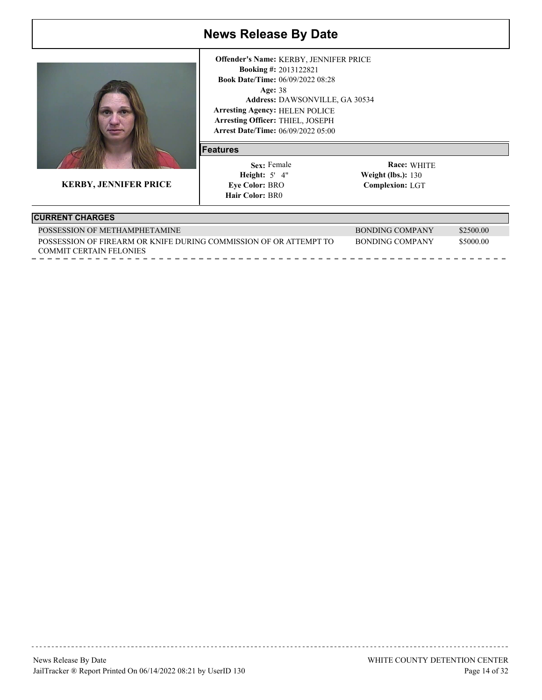

**KERBY, JENNIFER PRICE**

**Arrest Date/Time:** 06/09/2022 05:00 Age: 38 **Arresting Agency:** HELEN POLICE Arresting Officer: THIEL, JOSEPH 2013122821 **Booking #:** 06/09/2022 08:28 **Book Date/Time:** DAWSONVILLE, GA 30534 **Address: Offender's Name:** KERBY, JENNIFER PRICE

### **Features**

 5' 4" **Height: Weight (lbs.):** Sex: Female **Eye Color: BRO Hair Color: BR0** 

| <b>CURRENT CHARGES</b>                                            |                        |           |
|-------------------------------------------------------------------|------------------------|-----------|
| POSSESSION OF METHAMPHETAMINE                                     | <b>BONDING COMPANY</b> | \$2500.00 |
| POSSESSION OF FIREARM OR KNIFE DURING COMMISSION OF OR ATTEMPT TO | BONDING COMPANY        | \$5000.00 |
| <b>COMMIT CERTAIN FELONIES</b>                                    |                        |           |
|                                                                   |                        |           |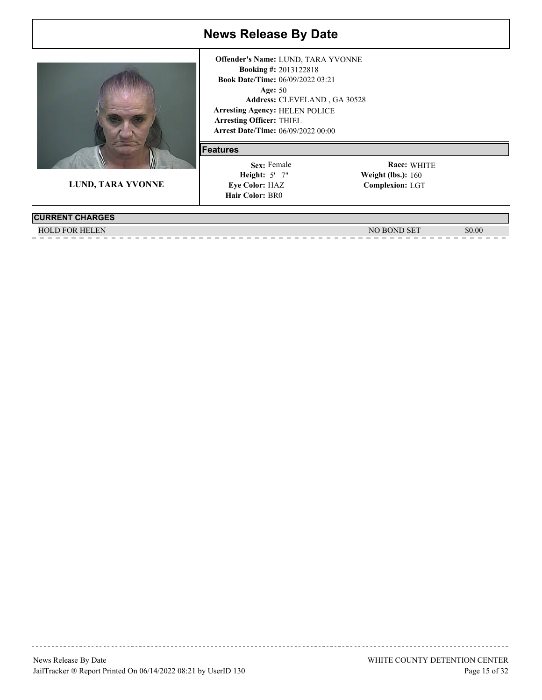

**LUND, TARA YVONNE**

**Arrest Date/Time:** 06/09/2022 00:00 Age: 50 **Arresting Agency:** HELEN POLICE **Arresting Officer: THIEL** 2013122818 **Booking #:** 06/09/2022 03:21 **Book Date/Time:** CLEVELAND , GA 30528 **Address: Offender's Name:** LUND, TARA YVONNE

### **Features**

 5' 7" **Height: Weight (lbs.):** Sex: Female Eye Color: **HAZ Hair Color: BR0** 

WHITE **Race: Complexion:** LGT Weight (lbs.): 160

| <b>CURRENT CHARGES</b> |  |
|------------------------|--|
|                        |  |

HOLD FOR HELEN \$0.00 NO BOND SET \$0.00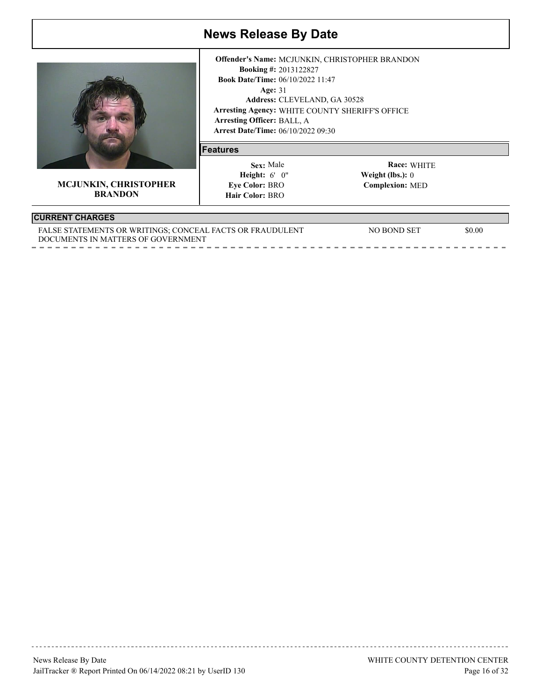

**MCJUNKIN, CHRISTOPHER BRANDON**

**Arrest Date/Time:** 06/10/2022 09:30 Age: 31 **Arresting Agency:** WHITE COUNTY SHERIFF'S OFFICE Arresting Officer: BALL, A 2013122827 **Booking #:** 06/10/2022 11:47 **Book Date/Time:** CLEVELAND, GA 30528 **Address: Offender's Name:** MCJUNKIN, CHRISTOPHER BRANDON

#### **Features**

 6' 0" **Height: Weight (lbs.):** Sex: Male **Eye Color: BRO Hair Color: BRO** 

WHITE **Race: Complexion:** MED Weight (lbs.):  $0$ 

### **CURRENT CHARGES**

| FALSE STATEMENTS OR WRITINGS; CONCEAL FACTS OR FRAUDULENT | NO BOND SET | \$0.00 |
|-----------------------------------------------------------|-------------|--------|
| DOCUMENTS IN MATTERS OF GOVERNMENT                        |             |        |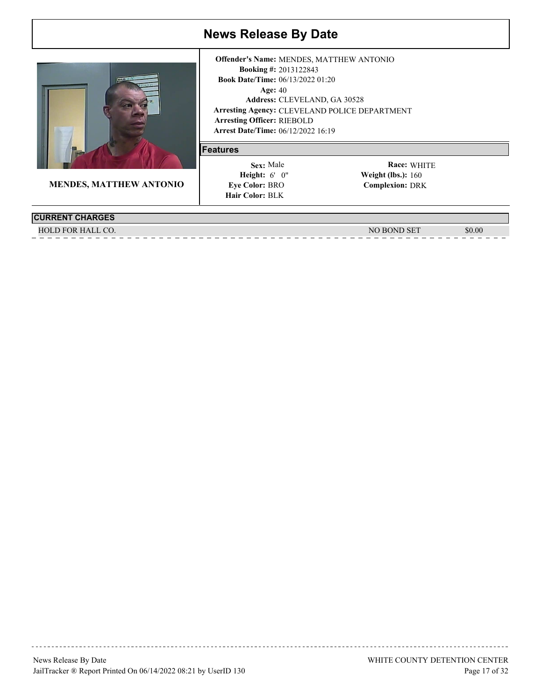

**MENDES, MATTHEW ANTONIO**

**Arrest Date/Time:** 06/12/2022 16:19 Age: 40 **Arresting Agency:** CLEVELAND POLICE DEPARTMENT Arresting Officer: RIEBOLD 2013122843 **Booking #:** 06/13/2022 01:20 **Book Date/Time:** CLEVELAND, GA 30528 **Address: Offender's Name:** MENDES, MATTHEW ANTONIO

### **Features**

 6' 0" **Height: Weight (lbs.):** Sex: Male **Eye Color: BRO Hair Color: BLK** 

| <b>CURRENT CHARGES</b> |                        |        |
|------------------------|------------------------|--------|
| . HALL CO.<br>.D FOR-  | <b>BOND SET</b><br>NC. | \$0.00 |
|                        |                        |        |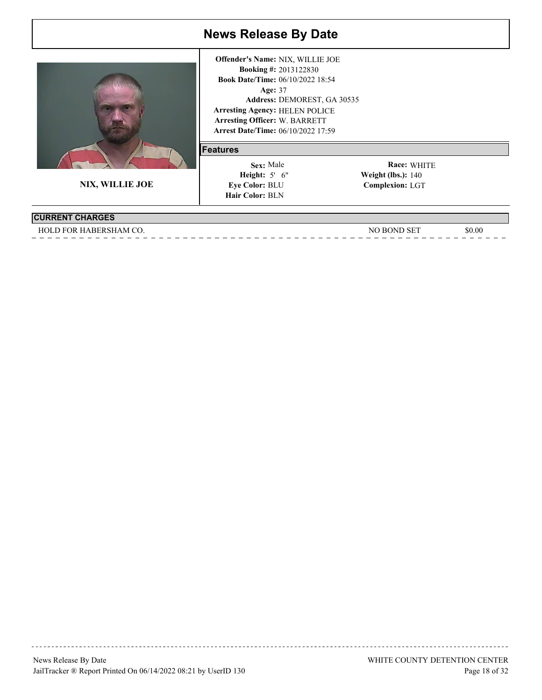

**NIX, WILLIE JOE**

**Arrest Date/Time:** 06/10/2022 17:59 Age: 37 **Arresting Agency:** HELEN POLICE Arresting Officer: W. BARRETT 2013122830 **Booking #:** 06/10/2022 18:54 **Book Date/Time:** DEMOREST, GA 30535 **Address: Offender's Name:** NIX, WILLIE JOE

#### **Features**

 5' 6" **Height: Weight (lbs.):** Sex: Male **Eye Color: BLU Hair Color: BLN** 

WHITE **Race: Complexion:** LGT **Weight (lbs.): 140** 

### **CURRENT CHARGES**

HOLD FOR HABERSHAM CO. THE SOLUTION OF THE SOLUTION OF THE SOLUTION OF THE SOLUTION OF THE SOLUTION OF THE SOLU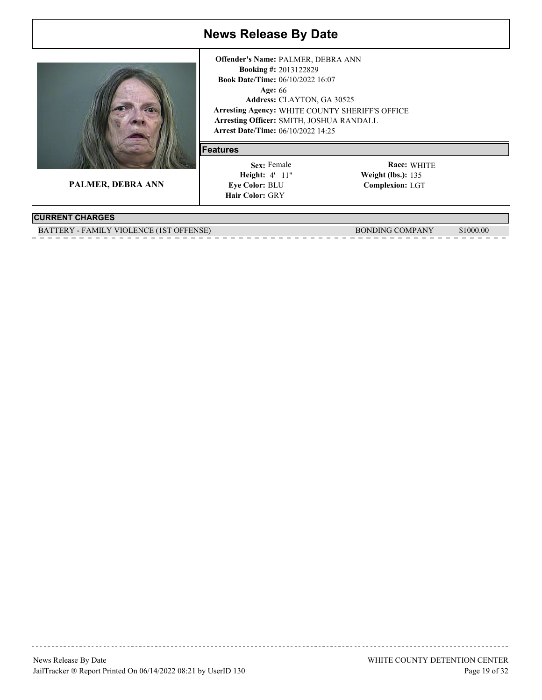

**PALMER, DEBRA ANN**

**Arrest Date/Time:** 06/10/2022 14:25 Age: 66 **Arresting Agency:** WHITE COUNTY SHERIFF'S OFFICE Arresting Officer: SMITH, JOSHUA RANDALL 2013122829 **Booking #:** 06/10/2022 16:07 **Book Date/Time:** CLAYTON, GA 30525 **Address: Offender's Name:** PALMER, DEBRA ANN

#### **Features**

 4' 11" **Height: Weight (lbs.):** Sex: Female **Eye Color: BLU Hair Color: GRY** 

WHITE **Race: Complexion:** LGT Weight (lbs.): 135

### **CURRENT CHARGES**

BATTERY - FAMILY VIOLENCE (1ST OFFENSE) BONDING COMPANY \$1000.00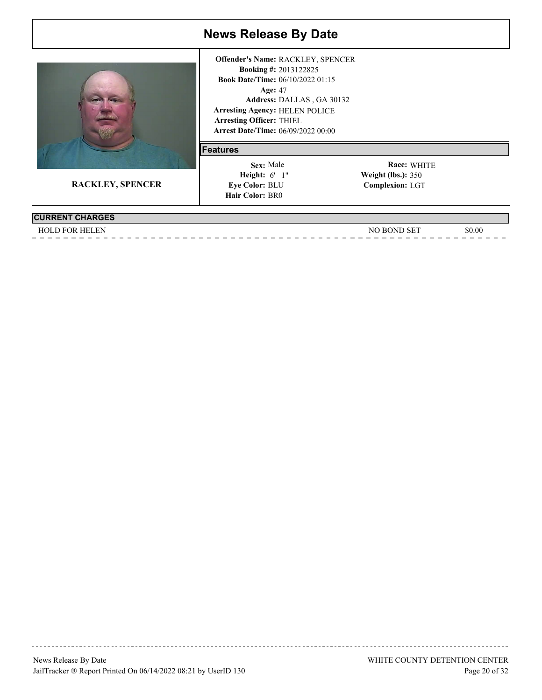

**RACKLEY, SPENCER**

**Arrest Date/Time:** 06/09/2022 00:00 Age: 47 **Arresting Agency:** HELEN POLICE **Arresting Officer: THIEL** 2013122825 **Booking #:** 06/10/2022 01:15 **Book Date/Time:** DALLAS , GA 30132 **Address: Offender's Name:** RACKLEY, SPENCER

#### **Features**

 6' 1" **Height: Weight (lbs.):** Sex: Male **Eye Color: BLU Hair Color: BR0** 

WHITE **Race: Complexion:** LGT **Weight (lbs.): 350** 

### **CURRENT CHARGES**

HOLD FOR HELEN \$0.00

### News Release By Date JailTracker ® Report Printed On 06/14/2022 08:21 by UserID 130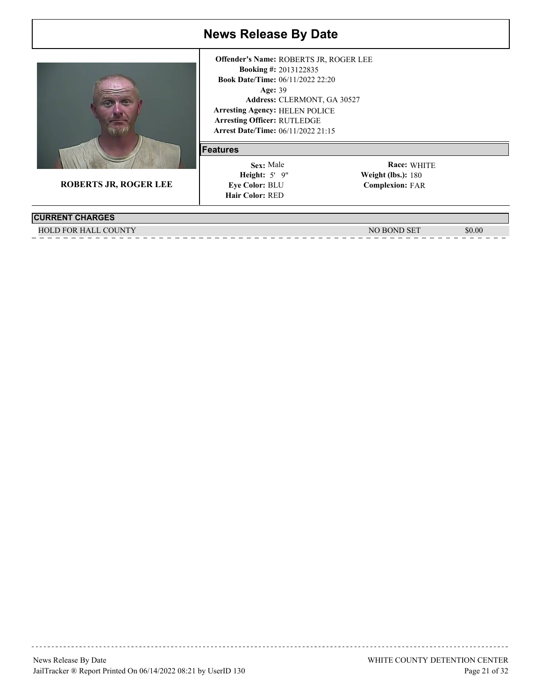

**ROBERTS JR, ROGER LEE**

#### **Arrest Date/Time:** 06/11/2022 21:15 Age: 39 **Arresting Agency:** HELEN POLICE Arresting Officer: RUTLEDGE 2013122835 **Booking #:** 06/11/2022 22:20 **Book Date/Time:** CLERMONT, GA 30527 **Address: Offender's Name:** ROBERTS JR, ROGER LEE

#### **Features**

 5' 9" **Height: Weight (lbs.):** Sex: Male **Eye Color: BLU Hair Color: RED** 

WHITE **Race: Complexion:** FAR Weight (lbs.): 180

**CURRENT CHARGES**

HOLD FOR HALL COUNTY SUBSET AND SOLUTE AND THE SET ASSAULT OF THE SET AND SOLUTE ASSAULT OF THE SOLUTE AND SOLUTE ASSAULT OF THE SOLUTE ASSAULT OF THE SOLUTE ASSAULT OF THE SOLUTE ASSAULT OF THE SOLUTE ASSAULT OF THE SOLUT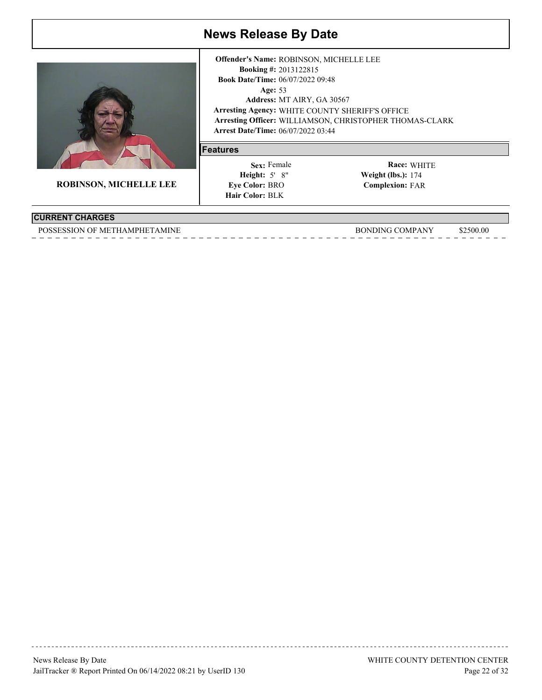

**ROBINSON, MICHELLE LEE**

### **Arrest Date/Time:** 06/07/2022 03:44 Age: 53 **Arresting Agency:** WHITE COUNTY SHERIFF'S OFFICE Arresting Officer: WILLIAMSON, CHRISTOPHER THOMAS-CLARK 2013122815 **Booking #:** 06/07/2022 09:48 **Book Date/Time:** Address: MT AIRY, GA 30567 **Offender's Name:** ROBINSON, MICHELLE LEE

#### **Features**

 5' 8" **Height: Weight (lbs.):** Sex: Female **Eye Color: BRO Hair Color: BLK** 

WHITE **Race: Complexion:** FAR **Weight (lbs.): 174** 

### **CURRENT CHARGES**

POSSESSION OF METHAMPHETAMINE BONDING COMPANY \$2500.00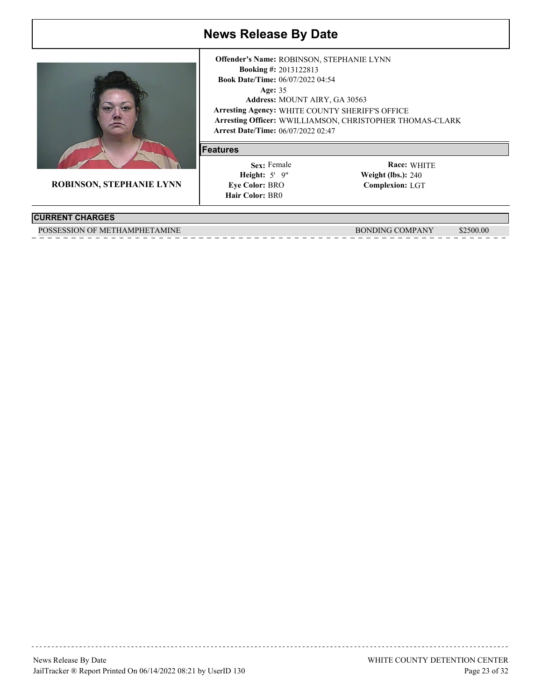

**ROBINSON, STEPHANIE LYNN**

**Arrest Date/Time:** 06/07/2022 02:47 Age: 35 **Arresting Agency:** WHITE COUNTY SHERIFF'S OFFICE Arresting Officer: WWILLIAMSON, CHRISTOPHER THOMAS-CLARK 2013122813 **Booking #:** 06/07/2022 04:54 **Book Date/Time:** Address: MOUNT AIRY, GA 30563 **Offender's Name:** ROBINSON, STEPHANIE LYNN

#### **Features**

 5' 9" **Height: Weight (lbs.):** Sex: Female **Eye Color: BRO Hair Color: BR0** 

WHITE **Race: Complexion:** LGT **Weight (lbs.): 240** 

#### **CURRENT CHARGES**

POSSESSION OF METHAMPHETAMINE **BONDING COMPANY** \$2500.00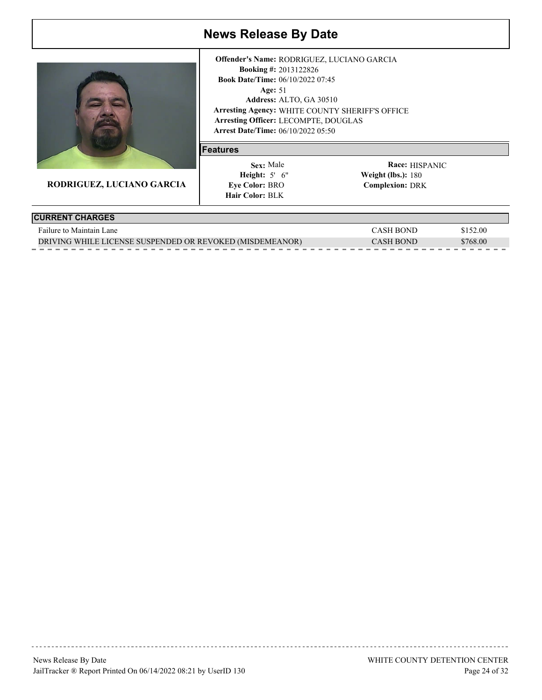

**RODRIGUEZ, LUCIANO GARCIA**

**Arrest Date/Time:** 06/10/2022 05:50 Age: 51 **Arresting Agency:** WHITE COUNTY SHERIFF'S OFFICE Arresting Officer: LECOMPTE, DOUGLAS 2013122826 **Booking #:** 06/10/2022 07:45 **Book Date/Time:** Address: ALTO, GA 30510 **Offender's Name:** RODRIGUEZ, LUCIANO GARCIA

### **Features**

 5' 6" **Height: Weight (lbs.):** Sex: Male **Eye Color: BRO Hair Color: BLK** 

Race: **HISPANIC Complexion:** DRK **Weight (lbs.): 180** 

| <b>CURRENT CHARGES</b>                                   |           |          |
|----------------------------------------------------------|-----------|----------|
| Failure to Maintain Lane                                 | CASH BOND | \$152.00 |
| DRIVING WHILE LICENSE SUSPENDED OR REVOKED (MISDEMEANOR) | CASH BOND | \$768.00 |
|                                                          |           |          |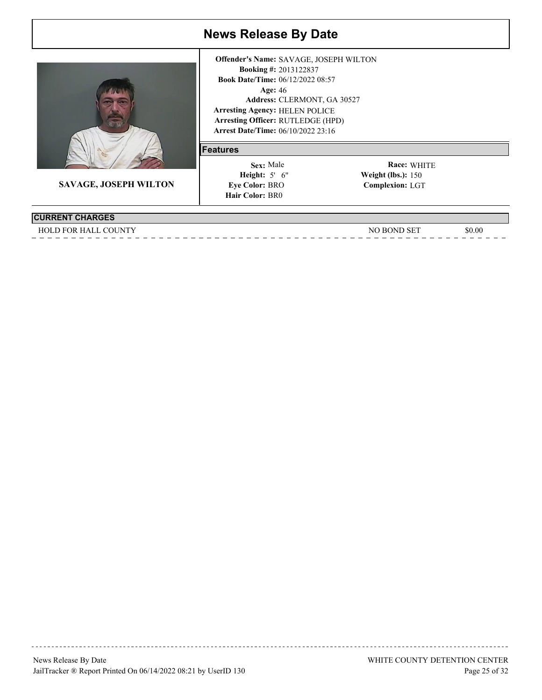

**SAVAGE, JOSEPH WILTON**

#### **CURRENT CHARGES**

**Arrest Date/Time:** 06/10/2022 23:16 Age: 46 **Arresting Agency:** HELEN POLICE Arresting Officer: RUTLEDGE (HPD) 2013122837 **Booking #:** 06/12/2022 08:57 **Book Date/Time:** CLERMONT, GA 30527 **Address: Offender's Name:** SAVAGE, JOSEPH WILTON

#### **Features**

 5' 6" **Height: Weight (lbs.):** Sex: Male **Eye Color: BRO Hair Color: BR0** 

WHITE **Race: Complexion:** LGT Weight (lbs.): 150

HOLD FOR HALL COUNTY SOLO SET SOLO BOND SET SOLO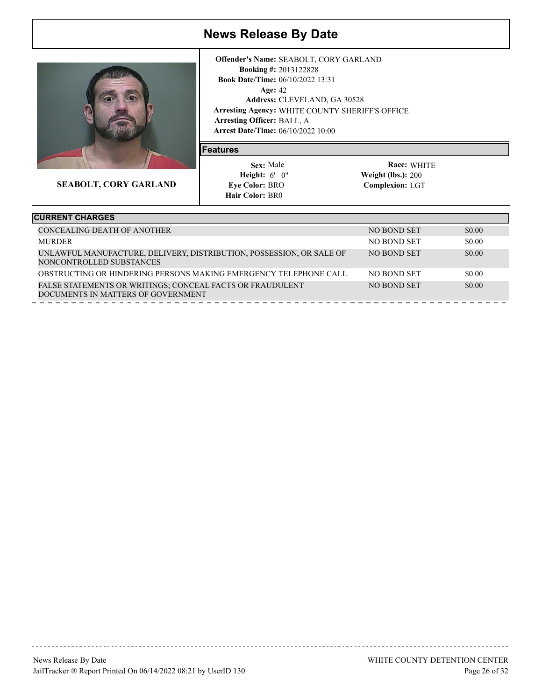

**SEABOLT, CORY GARLAND**

**Arrest Date/Time:** 06/10/2022 10:00 Age: 42 **Arresting Agency:** WHITE COUNTY SHERIFF'S OFFICE Arresting Officer: BALL, A 2013122828 **Booking #:** 06/10/2022 13:31 **Book Date/Time:** CLEVELAND, GA 30528 **Address: Offender's Name:** SEABOLT, CORY GARLAND

### **Features**

 6' 0" **Height: Weight (lbs.):** Sex: Male **Eye Color: BRO Hair Color: BR0** 

| <b>CURRENT CHARGES</b>                                                                           |             |        |
|--------------------------------------------------------------------------------------------------|-------------|--------|
| CONCEALING DEATH OF ANOTHER                                                                      | NO BOND SET | \$0.00 |
| <b>MURDER</b>                                                                                    | NO BOND SET | \$0.00 |
| UNLAWFUL MANUFACTURE, DELIVERY, DISTRIBUTION, POSSESSION, OR SALE OF<br>NONCONTROLLED SUBSTANCES | NO BOND SET | \$0.00 |
| OBSTRUCTING OR HINDERING PERSONS MAKING EMERGENCY TELEPHONE CALL                                 | NO BOND SET | \$0.00 |
| FALSE STATEMENTS OR WRITINGS; CONCEAL FACTS OR FRAUDULENT<br>DOCUMENTS IN MATTERS OF GOVERNMENT  | NO BOND SET | \$0.00 |
|                                                                                                  |             |        |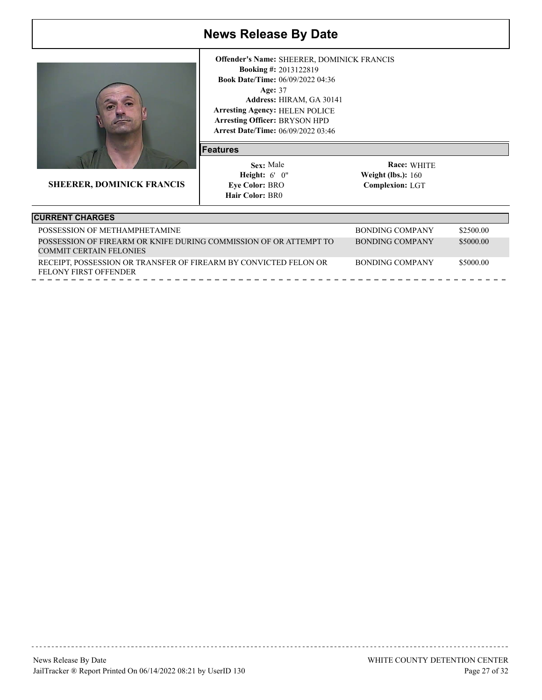

**SHEERER, DOMINICK FRANCIS**

**Arrest Date/Time:** 06/09/2022 03:46 Age: 37 **Arresting Agency:** HELEN POLICE Arresting Officer: BRYSON HPD 2013122819 **Booking #:** 06/09/2022 04:36 **Book Date/Time:** Address: HIRAM, GA 30141 **Offender's Name:** SHEERER, DOMINICK FRANCIS

#### **Features**

 6' 0" **Height: Weight (lbs.):** Sex: Male **Eye Color: BRO Hair Color: BR0** 

| <b>CURRENT CHARGES</b>                                                                       |                 |           |
|----------------------------------------------------------------------------------------------|-----------------|-----------|
| POSSESSION OF METHAMPHETAMINE                                                                | BONDING COMPANY | \$2500.00 |
| POSSESSION OF FIREARM OR KNIFE DURING COMMISSION OF OR ATTEMPT TO<br>COMMIT CERTAIN FELONIES | BONDING COMPANY | \$5000.00 |
| RECEIPT. POSSESSION OR TRANSFER OF FIREARM BY CONVICTED FELON OR<br>FELONY FIRST OFFENDER    | BONDING COMPANY | \$5000.00 |
|                                                                                              |                 |           |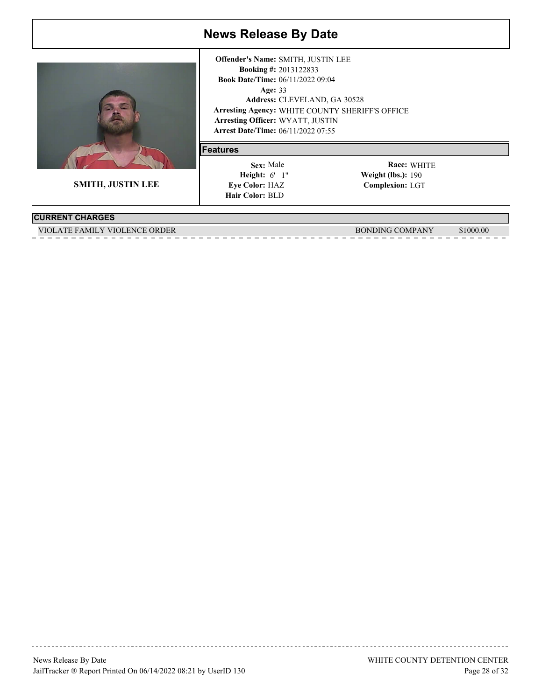

**SMITH, JUSTIN LEE**

**Arrest Date/Time:** 06/11/2022 07:55 Age: 33 **Arresting Agency:** WHITE COUNTY SHERIFF'S OFFICE Arresting Officer: WYATT, JUSTIN 2013122833 **Booking #:** 06/11/2022 09:04 **Book Date/Time:** CLEVELAND, GA 30528 **Address: Offender's Name:** SMITH, JUSTIN LEE

#### **Features**

 6' 1" **Height: Weight (lbs.):** Sex: Male Eye Color: **HAZ Hair Color: BLD** 

WHITE **Race: Complexion:** LGT **Weight (lbs.): 190** 

### **CURRENT CHARGES**

VIOLATE FAMILY VIOLENCE ORDER BONDING COMPANY \$1000.00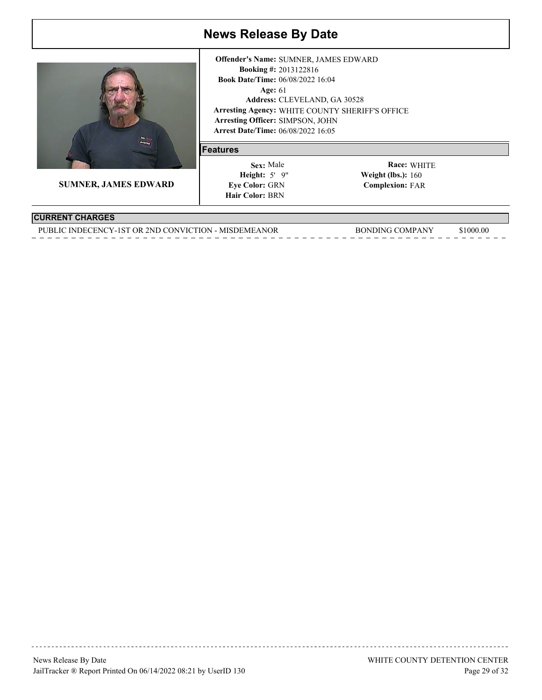

**SUMNER, JAMES EDWARD**

**Arrest Date/Time:** 06/08/2022 16:05 Age: 61 **Arresting Agency:** WHITE COUNTY SHERIFF'S OFFICE Arresting Officer: SIMPSON, JOHN 2013122816 **Booking #:** 06/08/2022 16:04 **Book Date/Time:** CLEVELAND, GA 30528 **Address: Offender's Name:** SUMNER, JAMES EDWARD

#### **Features**

 5' 9" **Height: Weight (lbs.):** Sex: Male **Eye Color:** GRN **Hair Color: BRN** 

WHITE **Race: Complexion:** FAR **Weight (lbs.):** 160

### **CURRENT CHARGES**

PUBLIC INDECENCY-1ST OR 2ND CONVICTION - MISDEMEANOR BONDING COMPANY \$1000.00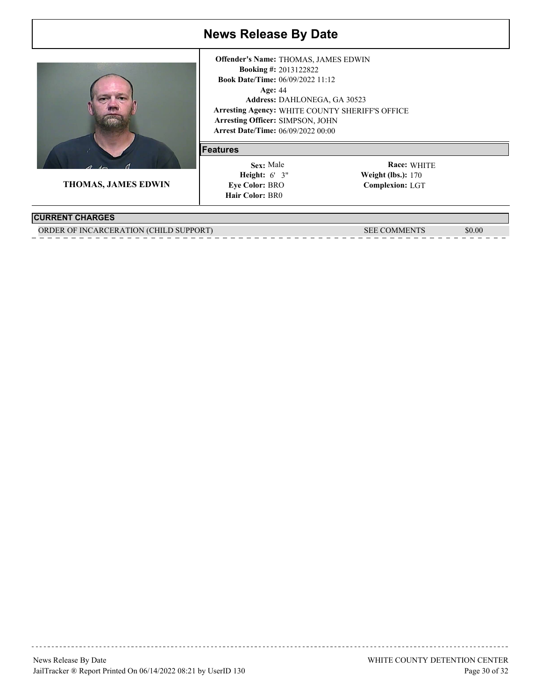

**THOMAS, JAMES EDWIN**

**Arrest Date/Time:** 06/09/2022 00:00 Age: 44 **Arresting Agency:** WHITE COUNTY SHERIFF'S OFFICE Arresting Officer: SIMPSON, JOHN 2013122822 **Booking #:** 06/09/2022 11:12 **Book Date/Time:** DAHLONEGA, GA 30523 **Address: Offender's Name:** THOMAS, JAMES EDWIN

#### **Features**

 6' 3" **Height: Weight (lbs.):** Sex: Male **Eye Color: BRO Hair Color: BR0** 

WHITE **Race: Complexion:** LGT **Weight (lbs.): 170** 

### **CURRENT CHARGES**

ORDER OF INCARCERATION (CHILD SUPPORT) SEE COMMENTS S0.00

News Release By Date JailTracker ® Report Printed On 06/14/2022 08:21 by UserID 130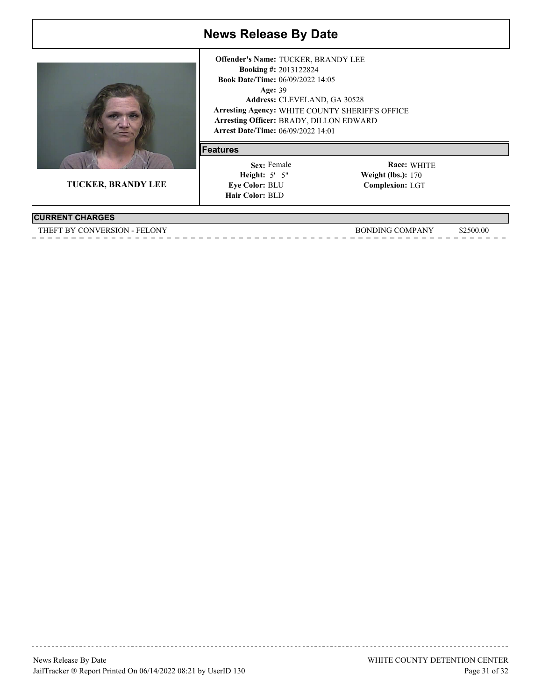

**TUCKER, BRANDY LEE**

**Arrest Date/Time:** 06/09/2022 14:01 Age: 39 **Arresting Agency:** WHITE COUNTY SHERIFF'S OFFICE Arresting Officer: BRADY, DILLON EDWARD 2013122824 **Booking #:** 06/09/2022 14:05 **Book Date/Time:** CLEVELAND, GA 30528 **Address: Offender's Name:** TUCKER, BRANDY LEE

#### **Features**

 5' 5" **Height: Weight (lbs.):** Sex: Female **Eye Color: BLU Hair Color: BLD** 

WHITE **Race: Complexion:** LGT **Weight (lbs.): 170** 

### **CURRENT CHARGES**

THEFT BY CONVERSION - FELONY GOOD BONDING COMPANY \$2500.00